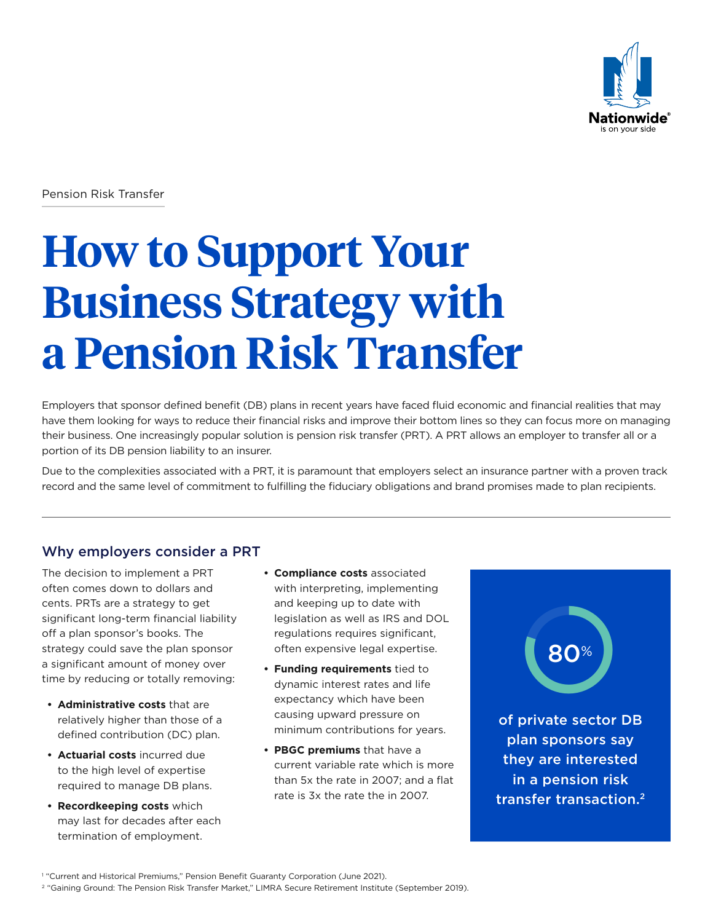

Pension Risk Transfer

# **How to Support Your Business Strategy with a Pension Risk Transfer**

Employers that sponsor defined benefit (DB) plans in recent years have faced fluid economic and financial realities that may have them looking for ways to reduce their financial risks and improve their bottom lines so they can focus more on managing their business. One increasingly popular solution is pension risk transfer (PRT). A PRT allows an employer to transfer all or a portion of its DB pension liability to an insurer.

Due to the complexities associated with a PRT, it is paramount that employers select an insurance partner with a proven track record and the same level of commitment to fulfilling the fiduciary obligations and brand promises made to plan recipients.

# Why employers consider a PRT

The decision to implement a PRT often comes down to dollars and cents. PRTs are a strategy to get significant long-term financial liability off a plan sponsor's books. The strategy could save the plan sponsor a significant amount of money over time by reducing or totally removing:

- **• Administrative costs** that are relatively higher than those of a defined contribution (DC) plan.
- **• Actuarial costs** incurred due to the high level of expertise required to manage DB plans.
- **• Recordkeeping costs** which may last for decades after each termination of employment.
- **• Compliance costs** associated with interpreting, implementing and keeping up to date with legislation as well as IRS and DOL regulations requires significant, often expensive legal expertise.
- **• Funding requirements** tied to dynamic interest rates and life expectancy which have been causing upward pressure on minimum contributions for years.
- **• PBGC premiums** that have a current variable rate which is more than 5x the rate in 2007; and a flat rate is 3x the rate the in 2007.



<sup>1</sup> "Current and Historical Premiums," Pension Benefit Guaranty Corporation (June 2021).

<sup>2</sup> "Gaining Ground: The Pension Risk Transfer Market," LIMRA Secure Retirement Institute (September 2019).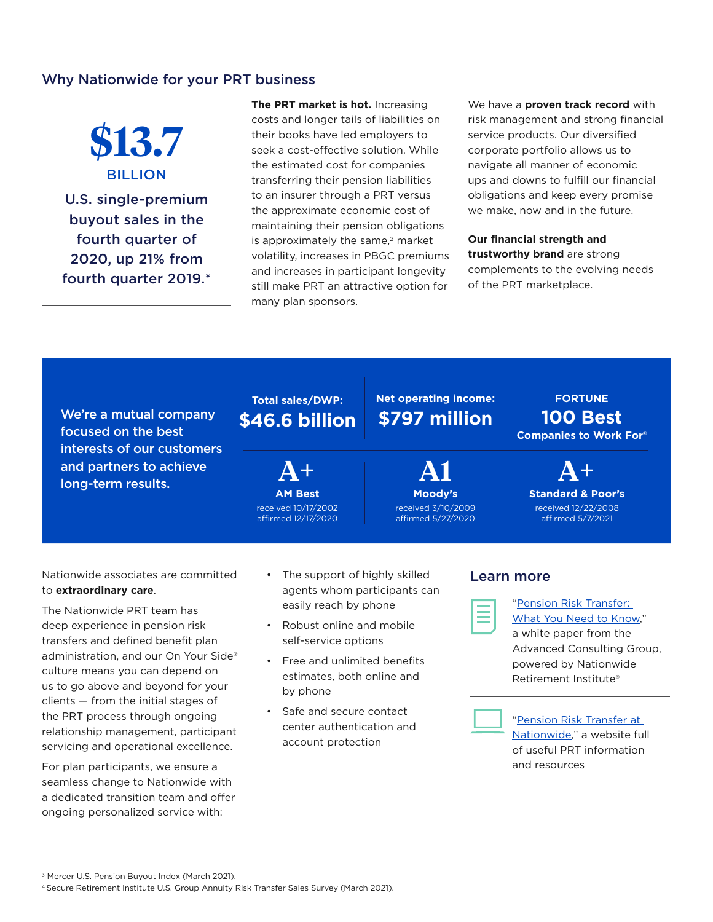## Why Nationwide for your PRT business

**\$13.7**  BILLION U.S. single-premium buyout sales in the fourth quarter of 2020, up 21% from fourth quarter 2019.\*

**The PRT market is hot.** Increasing costs and longer tails of liabilities on their books have led employers to seek a cost-effective solution. While the estimated cost for companies transferring their pension liabilities to an insurer through a PRT versus the approximate economic cost of maintaining their pension obligations is approximately the same,<sup>2</sup> market volatility, increases in PBGC premiums and increases in participant longevity still make PRT an attractive option for many plan sponsors.

We have a **proven track record** with risk management and strong financial service products. Our diversified corporate portfolio allows us to navigate all manner of economic ups and downs to fulfill our financial obligations and keep every promise we make, now and in the future.

**Our financial strength and trustworthy brand** are strong complements to the evolving needs of the PRT marketplace.

We're a mutual company focused on the best interests of our customers and partners to achieve long-term results.

# **Total sales/DWP: \$46.6 billion**

**A+ AM Best** received 10/17/2002

affirmed 12/17/2020

**\$797 million**

**Net operating income:**

**A1 Moody's** received 3/10/2009 affirmed 5/27/2020

**A+ Standard & Poor's**

**FORTUNE 100 Best Companies to Work For®**

> received 12/22/2008 affirmed 5/7/2021

Nationwide associates are committed to **extraordinary care**.

The Nationwide PRT team has deep experience in pension risk transfers and defined benefit plan administration, and our On Your Side® culture means you can depend on us to go above and beyond for your clients — from the initial stages of the PRT process through ongoing relationship management, participant servicing and operational excellence.

For plan participants, we ensure a seamless change to Nationwide with a dedicated transition team and offer ongoing personalized service with:

- The support of highly skilled agents whom participants can easily reach by phone
- Robust online and mobile self-service options
- Free and unlimited benefits estimates, both online and by phone
- Safe and secure contact center authentication and account protection

#### Learn more



["Pension Risk Transfer:](https://www.nationwidefinancial.com/media/pdf/NFM-20756AO.pdf)  [What You Need to Know,"](https://www.nationwidefinancial.com/media/pdf/NFM-20756AO.pdf)

a white paper from the Advanced Consulting Group, powered by Nationwide Retirement Institute®



["Pension Risk Transfer at](https://www.nationwide.com/cps/prt.html)  [Nationwide,"](https://www.nationwide.com/cps/prt.html) a website full of useful PRT information and resources

<sup>3</sup> Mercer U.S. Pension Buyout Index (March 2021). 4 Secure Retirement Institute U.S. Group Annuity Risk Transfer Sales Survey (March 2021).